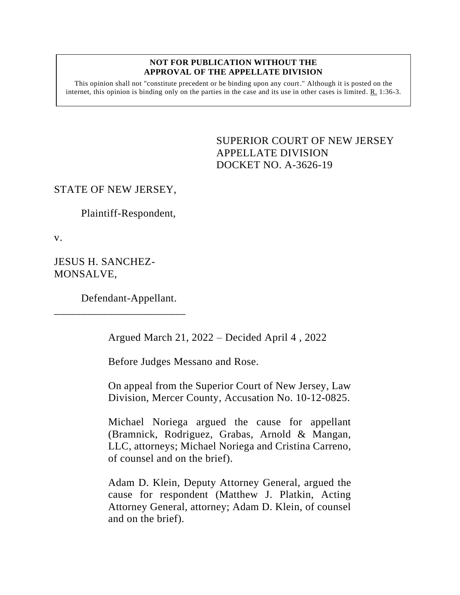#### **NOT FOR PUBLICATION WITHOUT THE APPROVAL OF THE APPELLATE DIVISION**

This opinion shall not "constitute precedent or be binding upon any court." Although it is posted on the internet, this opinion is binding only on the parties in the case and its use in other cases is limited.  $R_1$  1:36-3.

> <span id="page-0-0"></span>SUPERIOR COURT OF NEW JERSEY APPELLATE DIVISION DOCKET NO. A-3626-19

## STATE OF NEW JERSEY,

Plaintiff-Respondent,

v.

JESUS H. SANCHEZ-MONSALVE,

Defendant-Appellant.

\_\_\_\_\_\_\_\_\_\_\_\_\_\_\_\_\_\_\_\_\_\_\_\_

Argued March 21, 2022 – Decided April 4 , 2022

Before Judges Messano and Rose.

On appeal from the Superior Court of New Jersey, Law Division, Mercer County, Accusation No. 10-12-0825.

Michael Noriega argued the cause for appellant (Bramnick, Rodriguez, Grabas, Arnold & Mangan, LLC, attorneys; Michael Noriega and Cristina Carreno, of counsel and on the brief).

Adam D. Klein, Deputy Attorney General, argued the cause for respondent (Matthew J. Platkin, Acting Attorney General, attorney; Adam D. Klein, of counsel and on the brief).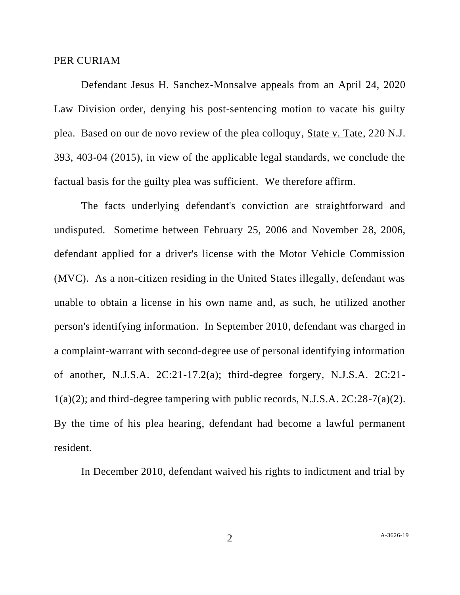#### PER CURIAM

Defendant Jesus H. Sanchez-Monsalve appeals from an April 24, 2020 Law Division order, denying his post-sentencing motion to vacate his guilty plea. Based on our de novo review of the plea colloquy, State v. Tate, 220 N.J. 393, 403-04 (2015), in view of the applicable legal standards, we conclude the factual basis for the guilty plea was sufficient. We therefore affirm.

The facts underlying defendant's conviction are straightforward and undisputed. Sometime between February 25, 2006 and November 28, 2006, defendant applied for a driver's license with the Motor Vehicle Commission (MVC). As a non-citizen residing in the United States illegally, defendant was unable to obtain a license in his own name and, as such, he utilized another person's identifying information. In September 2010, defendant was charged in a complaint-warrant with second-degree use of personal identifying information of another, N.J.S.A. 2C:21-17.2(a); third-degree forgery, N.J.S.A. 2C:21-  $1(a)(2)$ ; and third-degree tampering with public records, N.J.S.A.  $2C:28-7(a)(2)$ . By the time of his plea hearing, defendant had become a lawful permanent resident.

In December 2010, defendant waived his rights to indictment and trial by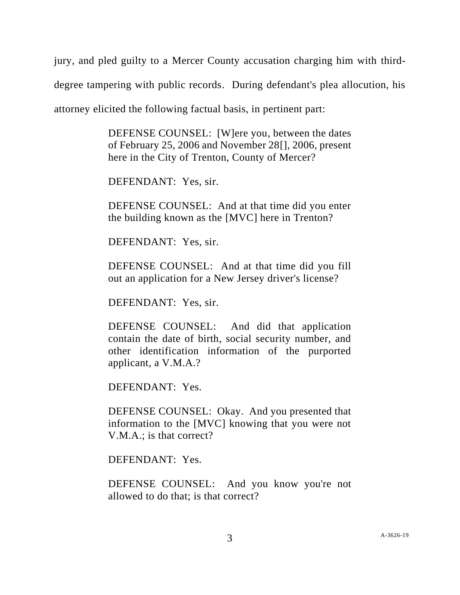jury, and pled guilty to a Mercer County accusation charging him with thirddegree tampering with public records. During defendant's plea allocution, his attorney elicited the following factual basis, in pertinent part:

> DEFENSE COUNSEL: [W]ere you, between the dates of February 25, 2006 and November 28[], 2006, present here in the City of Trenton, County of Mercer?

DEFENDANT: Yes, sir.

DEFENSE COUNSEL: And at that time did you enter the building known as the [MVC] here in Trenton?

DEFENDANT: Yes, sir.

DEFENSE COUNSEL: And at that time did you fill out an application for a New Jersey driver's license?

DEFENDANT: Yes, sir.

DEFENSE COUNSEL: And did that application contain the date of birth, social security number, and other identification information of the purported applicant, a V.M.A.?

DEFENDANT: Yes.

DEFENSE COUNSEL: Okay. And you presented that information to the [MVC] knowing that you were not V.M.A.; is that correct?

DEFENDANT: Yes.

DEFENSE COUNSEL: And you know you're not allowed to do that; is that correct?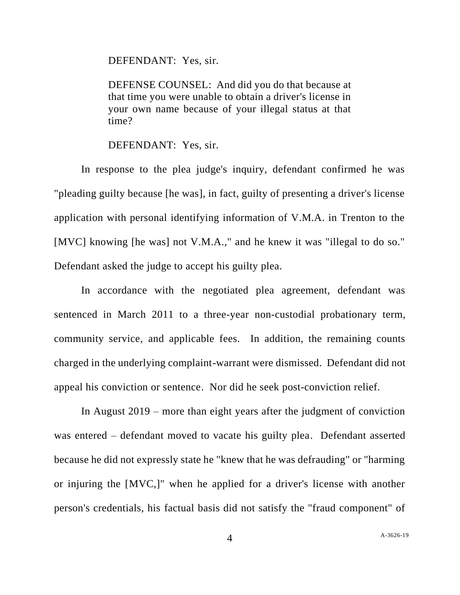DEFENDANT: Yes, sir.

DEFENSE COUNSEL: And did you do that because at that time you were unable to obtain a driver's license in your own name because of your illegal status at that time?

#### DEFENDANT: Yes, sir.

In response to the plea judge's inquiry, defendant confirmed he was "pleading guilty because [he was], in fact, guilty of presenting a driver's license application with personal identifying information of V.M.A. in Trenton to the [MVC] knowing [he was] not V.M.A.," and he knew it was "illegal to do so." Defendant asked the judge to accept his guilty plea.

In accordance with the negotiated plea agreement, defendant was sentenced in March 2011 to a three-year non-custodial probationary term, community service, and applicable fees. In addition, the remaining counts charged in the underlying complaint-warrant were dismissed. Defendant did not appeal his conviction or sentence. Nor did he seek post-conviction relief.

In August 2019 – more than eight years after the judgment of conviction was entered – defendant moved to vacate his guilty plea. Defendant asserted because he did not expressly state he "knew that he was defrauding" or "harming or injuring the [MVC,]" when he applied for a driver's license with another person's credentials, his factual basis did not satisfy the "fraud component" of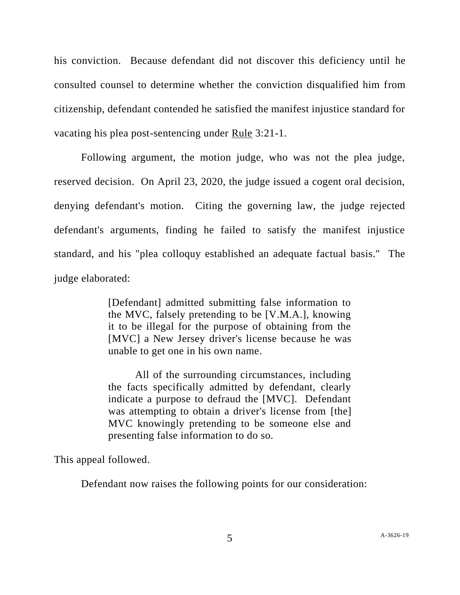his conviction. Because defendant did not discover this deficiency until he consulted counsel to determine whether the conviction disqualified him from citizenship, defendant contended he satisfied the manifest injustice standard for vacating his plea post-sentencing under Rule 3:21-1.

Following argument, the motion judge, who was not the plea judge, reserved decision. On April 23, 2020, the judge issued a cogent oral decision, denying defendant's motion. Citing the governing law, the judge rejected defendant's arguments, finding he failed to satisfy the manifest injustice standard, and his "plea colloquy established an adequate factual basis." The judge elaborated:

> [Defendant] admitted submitting false information to the MVC, falsely pretending to be [V.M.A.], knowing it to be illegal for the purpose of obtaining from the [MVC] a New Jersey driver's license because he was unable to get one in his own name.

> All of the surrounding circumstances, including the facts specifically admitted by defendant, clearly indicate a purpose to defraud the [MVC]. Defendant was attempting to obtain a driver's license from [the] MVC knowingly pretending to be someone else and presenting false information to do so.

This appeal followed.

Defendant now raises the following points for our consideration: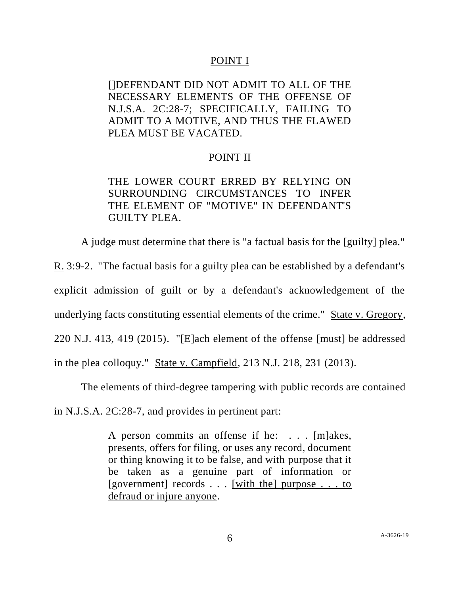## POINT I

[]DEFENDANT DID NOT ADMIT TO ALL OF THE NECESSARY ELEMENTS OF THE OFFENSE OF N.J.S.A. 2C:28-7; SPECIFICALLY, FAILING TO ADMIT TO A MOTIVE, AND THUS THE FLAWED PLEA MUST BE VACATED.

## POINT II

# THE LOWER COURT ERRED BY RELYING ON SURROUNDING CIRCUMSTANCES TO INFER THE ELEMENT OF "MOTIVE" IN DEFENDANT'S GUILTY PLEA.

A judge must determine that there is "a factual basis for the [guilty] plea."

R. 3:9-2. "The factual basis for a guilty plea can be established by a defendant's explicit admission of guilt or by a defendant's acknowledgement of the underlying facts constituting essential elements of the crime." State v. Gregory, 220 N.J. 413, 419 (2015). "[E]ach element of the offense [must] be addressed in the plea colloquy." State v. Campfield, 213 N.J. 218, 231 (2013).

The elements of third-degree tampering with public records are contained

in N.J.S.A. 2C:28-7, and provides in pertinent part:

A person commits an offense if he: . . . [m]akes, presents, offers for filing, or uses any record, document or thing knowing it to be false, and with purpose that it be taken as a genuine part of information or [government] records . . . [with the] purpose . . . to defraud or injure anyone.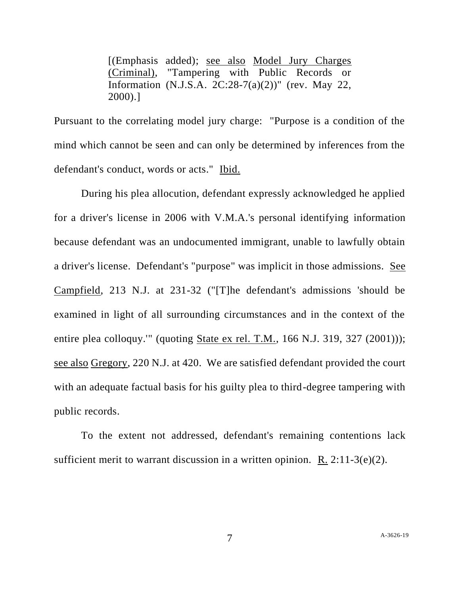[(Emphasis added); see also Model Jury Charges (Criminal), "Tampering with Public Records or Information (N.J.S.A. 2C:28-7(a)(2))" (rev. May 22, 2000).]

Pursuant to the correlating model jury charge: "Purpose is a condition of the mind which cannot be seen and can only be determined by inferences from the defendant's conduct, words or acts." Ibid.

During his plea allocution, defendant expressly acknowledged he applied for a driver's license in 2006 with V.M.A.'s personal identifying information because defendant was an undocumented immigrant, unable to lawfully obtain a driver's license. Defendant's "purpose" was implicit in those admissions. See Campfield, 213 N.J. at 231-32 ("[T]he defendant's admissions 'should be examined in light of all surrounding circumstances and in the context of the entire plea colloquy.'" (quoting State ex rel. T.M., 166 N.J. 319, 327 (2001))); see also Gregory, 220 N.J. at 420. We are satisfied defendant provided the court with an adequate factual basis for his guilty plea to third-degree tampering with public records.

To the extent not addressed, defendant's remaining contentions lack sufficient merit to warrant discussion in a written opinion. R.  $2:11-3(e)(2)$ .